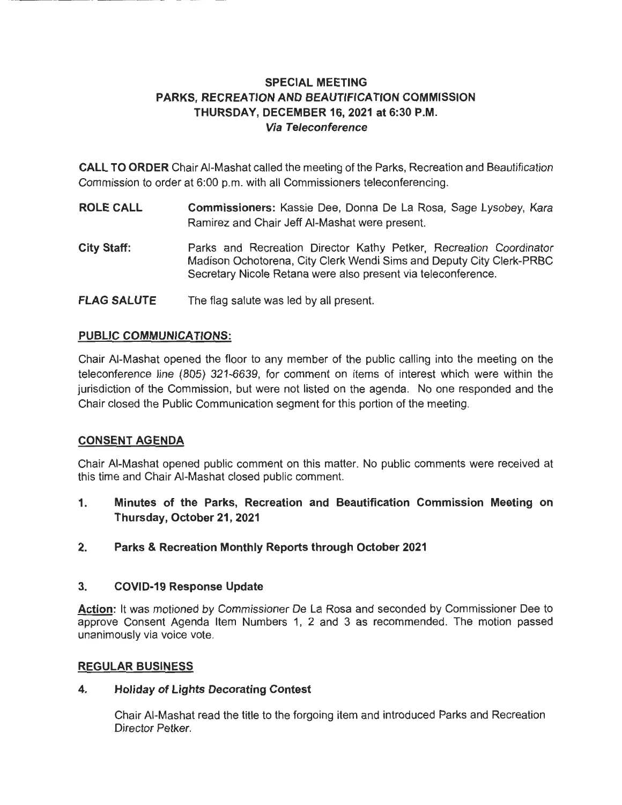# **SPECIAL MEETING PARKS, RECREATION AND BEAUTIFICATION COMMISSION THURSDAY, DECEMBER 16, 2021 at 6:30 P.M. Via Teleconference**

**CALL TO ORDER** Chair AI-Mashat called the meeting of the Parks, Recreation and Beautification Commission to order at 6:00 p.m. with all Commissioners teleconferencing.

- **ROLE CALL Commissioners:** Kassie Dee, Donna De La Rosa, Sage Lysobey, Kara Ramirez and Chair Jeff AI-Mashat were present.
- **City Staff:**  Parks and Recreation Director Kathy Petker, Recreation Coordinator Madison Ochotorena, City Clerk Wendi Sims and Deputy City Clerk-PRBC Secretary Nicole Retana were also present via teleconference.
- **FLAG SALUTE**  The flag salute was led by all present.

## **PUBLIC COMMUNICATIONS:**

Chair AI-Mashat opened the floor to any member of the public calling into the meeting on the teleconference line (805) 321-6639, for comment on items of interest which were within the jurisdiction of the Commission, but were not listed on the agenda. No one responded and the Chair closed the Public Communication segment for this portion of the meeting.

# **CONSENT AGENDA**

Chair AI-Mashat opened public comment on this matter. No public comments were received at this time and Chair AI-Mashat closed public comment.

- **1. Minutes of the Parks, Recreation and Beautification Commission Meeting on Thursday, October 21, 2021**
- **2. Parks & Recreation Monthly Reports through October 2021**

## **3. COVID-19 Response Update**

**Action:** It was motioned by Commissioner De La Rosa and seconded by Commissioner Dee to approve Consent Agenda Item Numbers 1, 2 and 3 as recommended. The motion passed unanimously via voice vote.

## **REGULAR BUSINESS**

## **4. Holiday of Lights Decorating Contest**

Chair AI-Mashat read the title to the forgoing item and introduced Parks and Recreation Director Petker.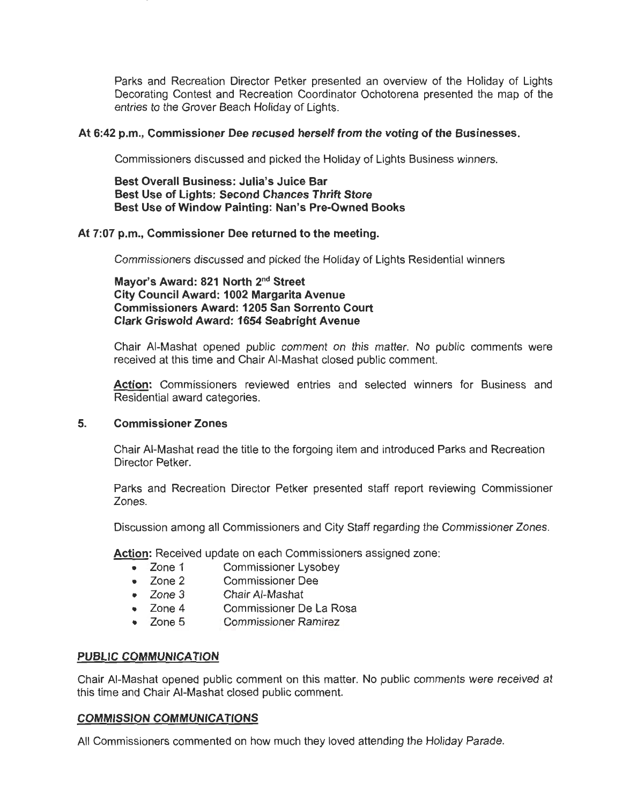Parks and Recreation Director Petker presented an overview of the Holiday of Lights Decorating Contest and Recreation Coordinator Ochotorena presented the map of the entries to the Grover Beach Holiday of Lights.

### **At 6:42 p.m., Commissioner Dee recused herself from the voting of the Businesses.**

Commissioners discussed and picked the Holiday of Lights Business winners.

**Best Overall Business: Julia's Juice Bar Best Use of Lights: Second Chances Thrift Store Best Use of Window Painting: Nan's Pre-Owned Books** 

### **At 7:07 p.m., Commissioner Dee returned to the meeting.**

Commissioners discussed and picked the Holiday of Lights Residential winners

**Mayor's Award: 821 North 2nd Street City Council Award: 1002 Margarita Avenue Commissioners Award: 1205 San Sorrento Court Clark Griswold Award: 1654 Seabright Avenue** 

Chair AI-Mashat opened public comment on this matter. No public comments were received at this time and Chair AI-Mashat closed public comment.

**Action:** Commissioners reviewed entries and selected winners for Business and Residential award categories.

#### **5. Commissioner Zones**

Chair AI-Mashat read the title to the forgoing item and introduced Parks and Recreation Director Petker.

Parks and Recreation Director Petker presented staff report reviewing Commissioner Zones.

Discussion among all Commissioners and City Staff regarding the Commissioner Zones.

Action: Received update on each Commissioners assigned zone:

- Zone 1 Commissioner Lysobey
- Zone 2 Commissioner Dee
- Zone 3 Chair AI-Mashat
- Zone 4 Commissioner De La Rosa
- Zone 5 Commissioner Ramirez

## **PUBLIC COMMUNICATION**

Chair AI-Mashat opened public comment on this matter. No public comments were received at this time and Chair AI-Mashat closed public comment.

#### **COMMISSION COMMUNICATIONS**

All Commissioners commented on how much they loved attending the Holiday Parade.